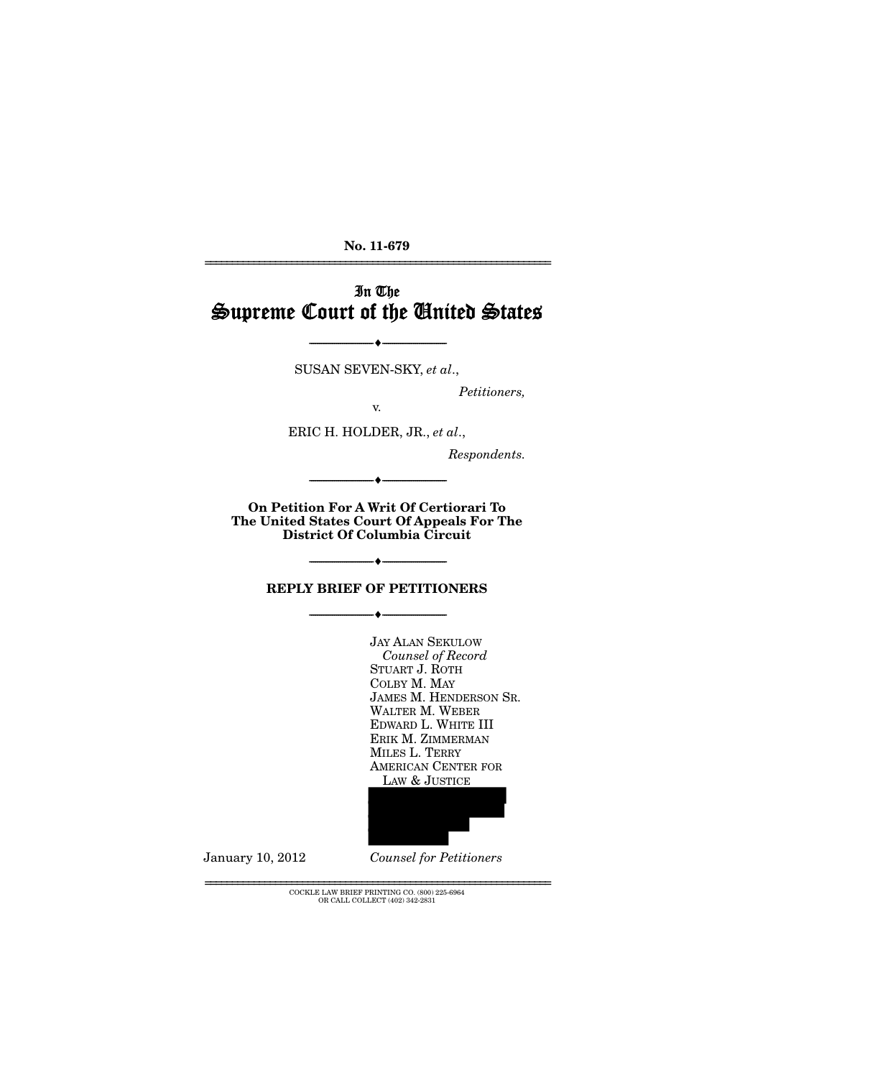**No. 11-679**  ================================================================

In The Supreme Court of the United States

SUSAN SEVEN-SKY, *et al*.,

--------------------------------- i ---------------------------------

*Petitioners,* 

v.

ERIC H. HOLDER, JR., *et al*.,

*Respondents.* 

**On Petition For A Writ Of Certiorari To The United States Court Of Appeals For The District Of Columbia Circuit** 

--------------------------------- i ---------------------------------

### **REPLY BRIEF OF PETITIONERS**

--------------------------------- i ---------------------------------

--------------------------------- i ---------------------------------

JAY ALAN SEKULOW *Counsel of Record* STUART J. ROTH COLBY M. MAY JAMES M. HENDERSON SR. WALTER M. WEBER EDWARD L. WHITE III ERIK M. ZIMMERMAN MILES L. TERRY AMERICAN CENTER FOR LAW & JUSTICE



January 10, 2012 *Counsel for Petitioners*

 ${\rm COCKLE}$  LAW BRIEF PRINTING CO.  $(800)$  225-6964 OR CALL COLLECT (402) 342-2831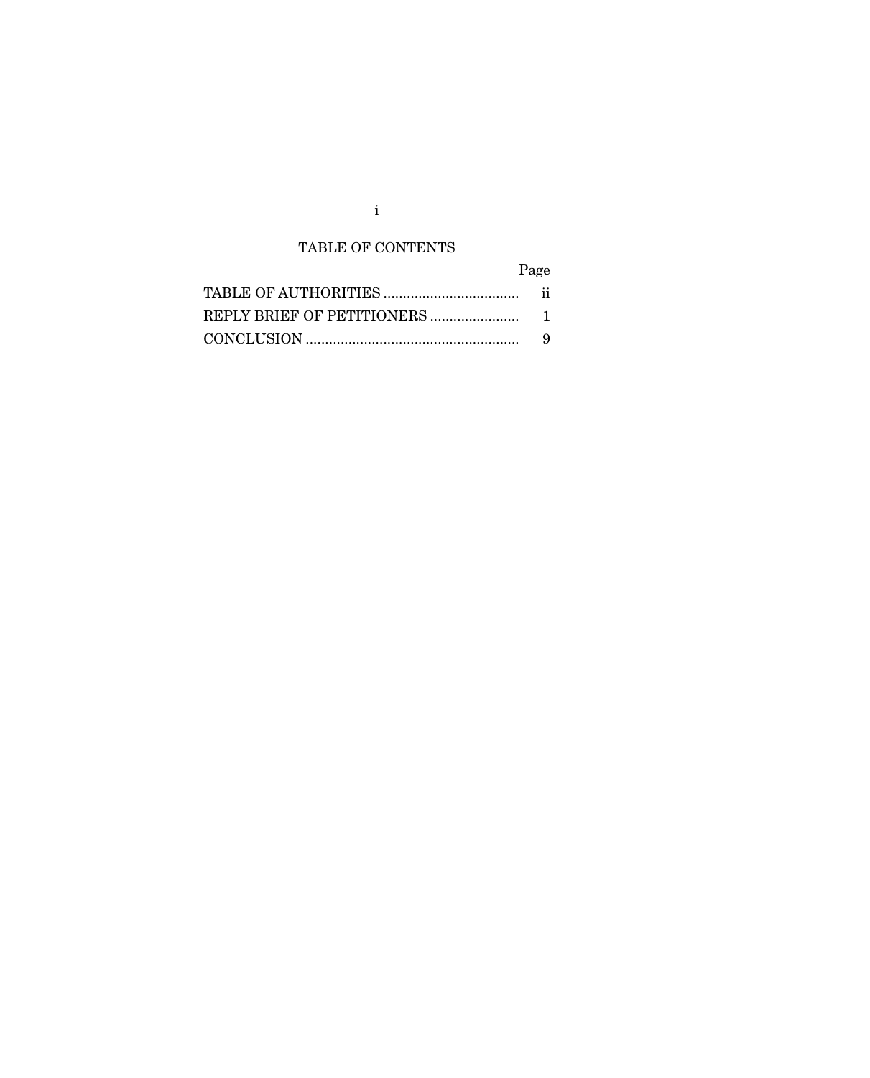## TABLE OF CONTENTS

# Page

| -9 |
|----|

i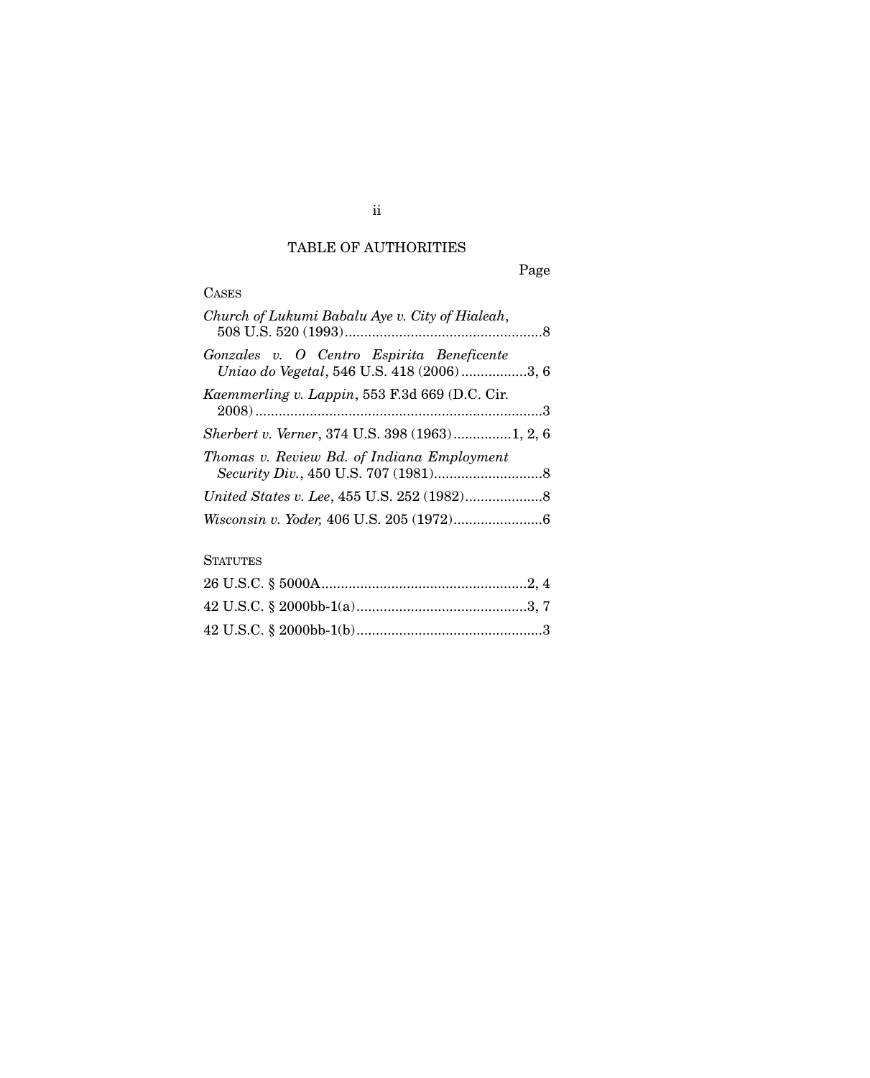## TABLE OF AUTHORITIES

# Page

### **CASES**

| Church of Lukumi Babalu Aye v. City of Hialeah,                                         |  |
|-----------------------------------------------------------------------------------------|--|
| Gonzales v. O Centro Espirita Beneficente<br>Uniao do Vegetal, 546 U.S. 418 (2006) 3, 6 |  |
| Kaemmerling v. Lappin, 553 F.3d 669 (D.C. Cir.                                          |  |
| Sherbert v. Verner, 374 U.S. 398 (1963)1, 2, 6                                          |  |
| Thomas v. Review Bd. of Indiana Employment                                              |  |
|                                                                                         |  |
|                                                                                         |  |

### **STATUTES**

### ii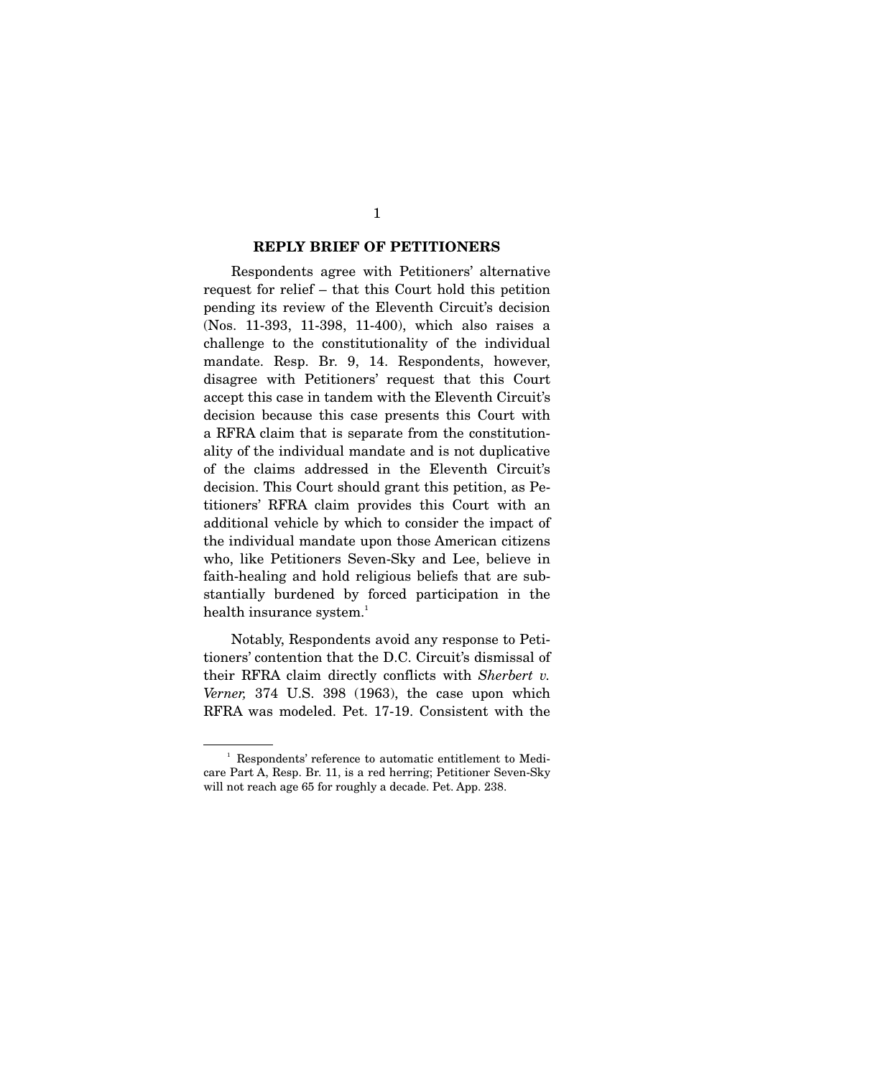#### **REPLY BRIEF OF PETITIONERS**

 Respondents agree with Petitioners' alternative request for relief – that this Court hold this petition pending its review of the Eleventh Circuit's decision (Nos. 11-393, 11-398, 11-400), which also raises a challenge to the constitutionality of the individual mandate. Resp. Br. 9, 14. Respondents, however, disagree with Petitioners' request that this Court accept this case in tandem with the Eleventh Circuit's decision because this case presents this Court with a RFRA claim that is separate from the constitutionality of the individual mandate and is not duplicative of the claims addressed in the Eleventh Circuit's decision. This Court should grant this petition, as Petitioners' RFRA claim provides this Court with an additional vehicle by which to consider the impact of the individual mandate upon those American citizens who, like Petitioners Seven-Sky and Lee, believe in faith-healing and hold religious beliefs that are substantially burdened by forced participation in the health insurance system.<sup>1</sup>

 Notably, Respondents avoid any response to Petitioners' contention that the D.C. Circuit's dismissal of their RFRA claim directly conflicts with *Sherbert v. Verner,* 374 U.S. 398 (1963), the case upon which RFRA was modeled. Pet. 17-19. Consistent with the

<sup>&</sup>lt;sup>1</sup> Respondents' reference to automatic entitlement to Medicare Part A, Resp. Br. 11, is a red herring; Petitioner Seven-Sky will not reach age 65 for roughly a decade. Pet. App. 238.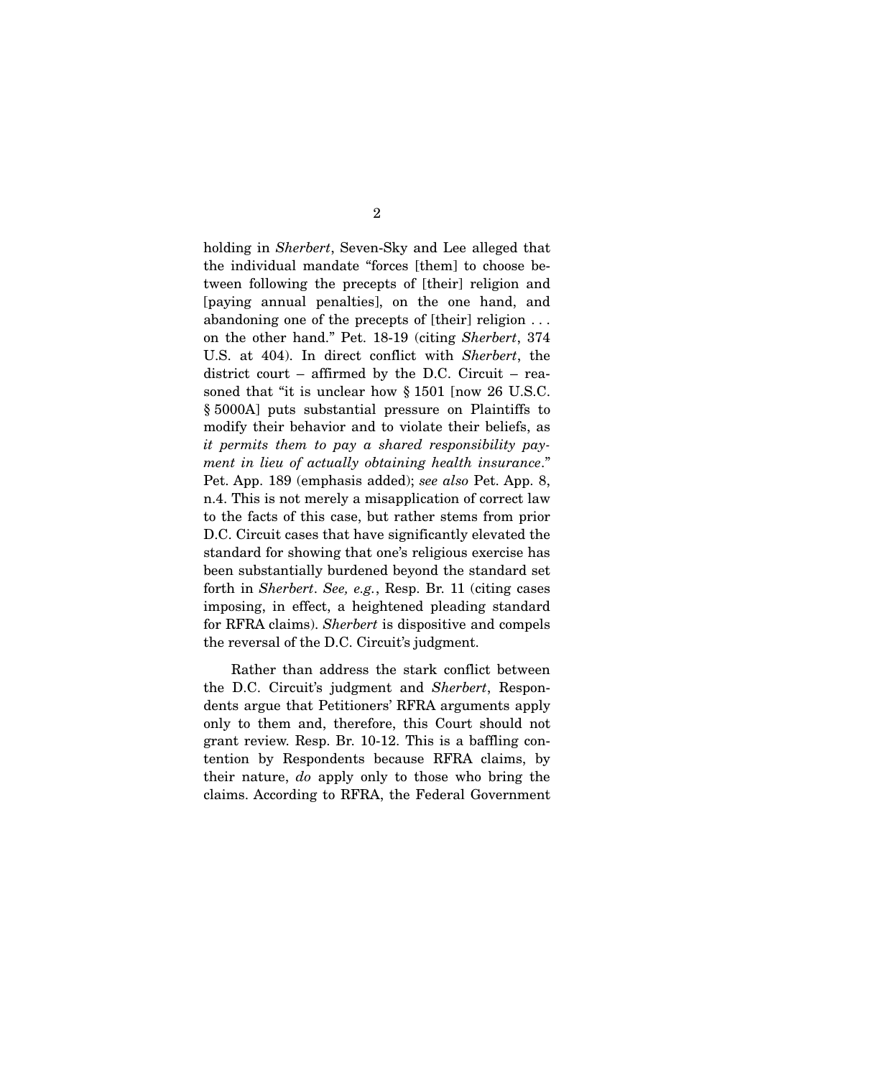holding in *Sherbert*, Seven-Sky and Lee alleged that the individual mandate "forces [them] to choose between following the precepts of [their] religion and [paying annual penalties], on the one hand, and abandoning one of the precepts of [their] religion . . . on the other hand." Pet. 18-19 (citing *Sherbert*, 374 U.S. at 404). In direct conflict with *Sherbert*, the district court – affirmed by the D.C. Circuit – reasoned that "it is unclear how § 1501 [now 26 U.S.C. § 5000A] puts substantial pressure on Plaintiffs to modify their behavior and to violate their beliefs, as *it permits them to pay a shared responsibility payment in lieu of actually obtaining health insurance*." Pet. App. 189 (emphasis added); *see also* Pet. App. 8, n.4. This is not merely a misapplication of correct law to the facts of this case, but rather stems from prior D.C. Circuit cases that have significantly elevated the standard for showing that one's religious exercise has been substantially burdened beyond the standard set forth in *Sherbert*. *See, e.g.*, Resp. Br. 11 (citing cases imposing, in effect, a heightened pleading standard for RFRA claims). *Sherbert* is dispositive and compels the reversal of the D.C. Circuit's judgment.

 Rather than address the stark conflict between the D.C. Circuit's judgment and *Sherbert*, Respondents argue that Petitioners' RFRA arguments apply only to them and, therefore, this Court should not grant review. Resp. Br. 10-12. This is a baffling contention by Respondents because RFRA claims, by their nature, *do* apply only to those who bring the claims. According to RFRA, the Federal Government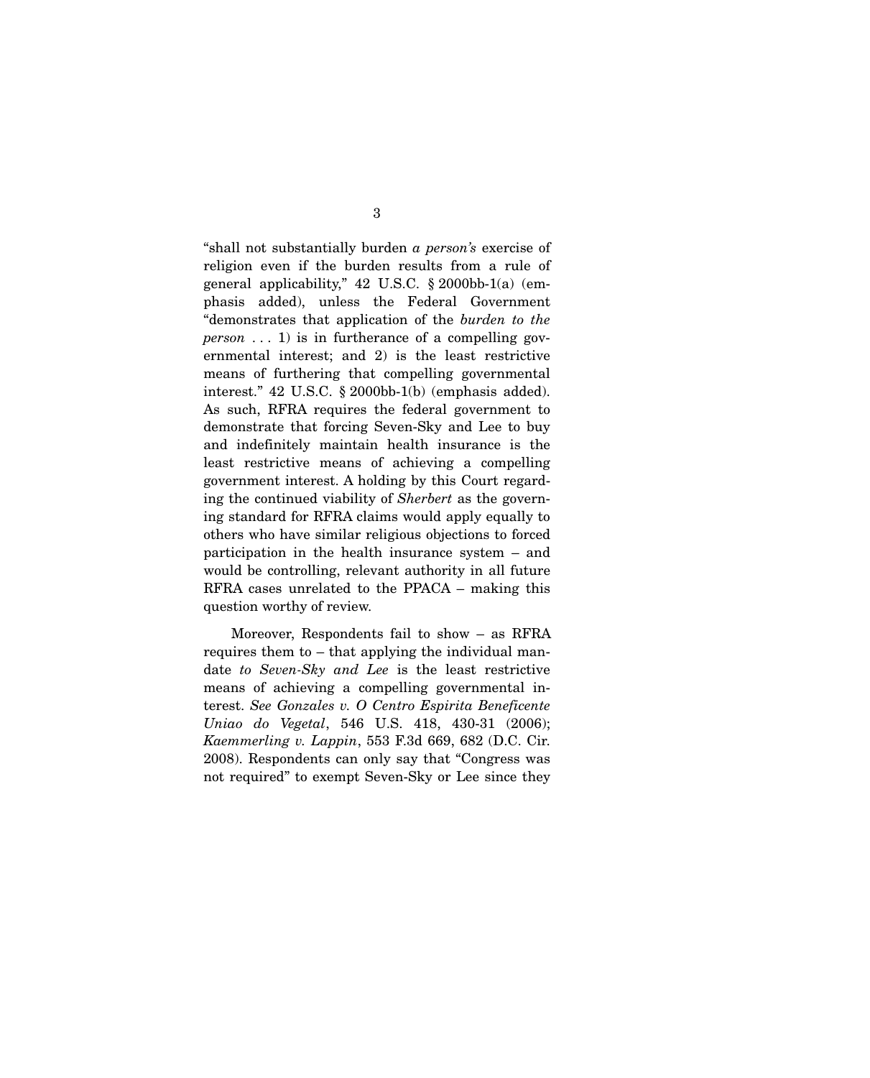"shall not substantially burden *a person's* exercise of religion even if the burden results from a rule of general applicability," 42 U.S.C. § 2000bb-1(a) (emphasis added), unless the Federal Government "demonstrates that application of the *burden to the person*  $\dots$  1) is in furtherance of a compelling governmental interest; and 2) is the least restrictive means of furthering that compelling governmental interest." 42 U.S.C. § 2000bb-1(b) (emphasis added). As such, RFRA requires the federal government to demonstrate that forcing Seven-Sky and Lee to buy and indefinitely maintain health insurance is the least restrictive means of achieving a compelling government interest. A holding by this Court regarding the continued viability of *Sherbert* as the governing standard for RFRA claims would apply equally to others who have similar religious objections to forced participation in the health insurance system – and would be controlling, relevant authority in all future RFRA cases unrelated to the PPACA – making this question worthy of review.

 Moreover, Respondents fail to show – as RFRA requires them to – that applying the individual mandate *to Seven-Sky and Lee* is the least restrictive means of achieving a compelling governmental interest. *See Gonzales v. O Centro Espirita Beneficente Uniao do Vegetal*, 546 U.S. 418, 430-31 (2006); *Kaemmerling v. Lappin*, 553 F.3d 669, 682 (D.C. Cir. 2008). Respondents can only say that "Congress was not required" to exempt Seven-Sky or Lee since they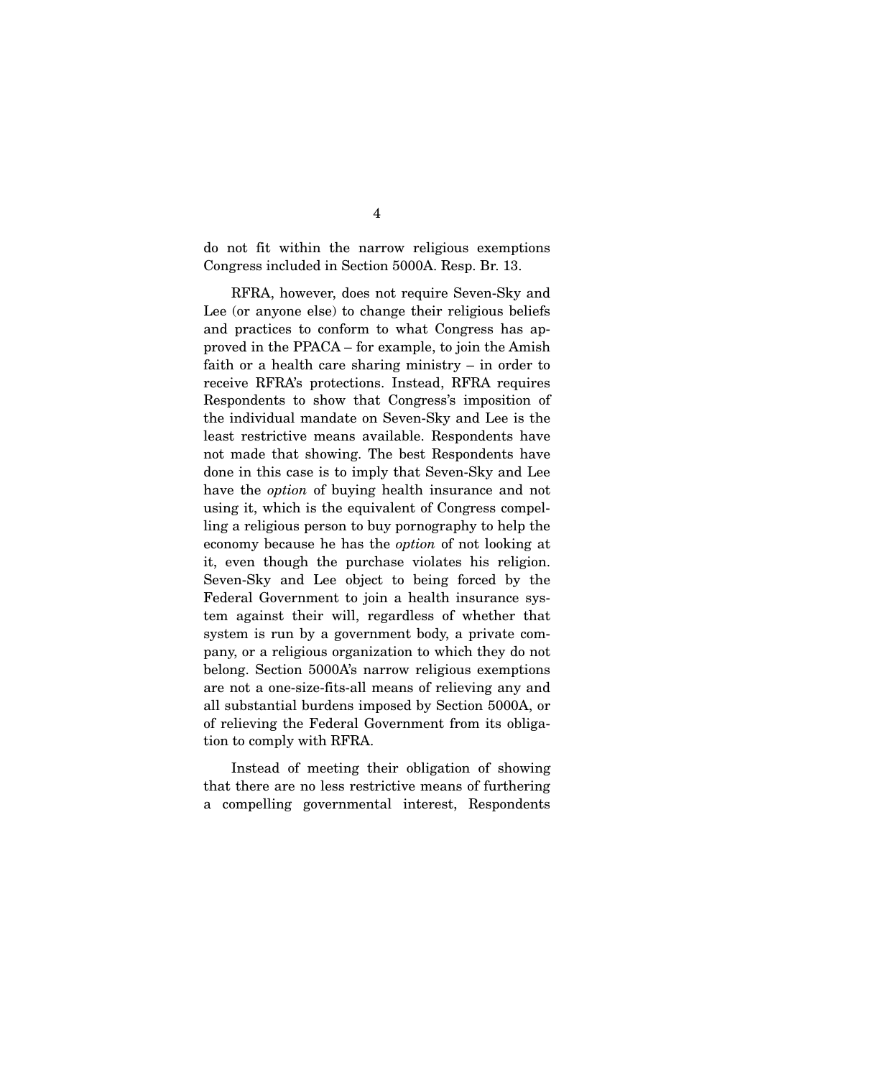do not fit within the narrow religious exemptions Congress included in Section 5000A. Resp. Br. 13.

 RFRA, however, does not require Seven-Sky and Lee (or anyone else) to change their religious beliefs and practices to conform to what Congress has approved in the PPACA – for example, to join the Amish faith or a health care sharing ministry – in order to receive RFRA's protections. Instead, RFRA requires Respondents to show that Congress's imposition of the individual mandate on Seven-Sky and Lee is the least restrictive means available. Respondents have not made that showing. The best Respondents have done in this case is to imply that Seven-Sky and Lee have the *option* of buying health insurance and not using it, which is the equivalent of Congress compelling a religious person to buy pornography to help the economy because he has the *option* of not looking at it, even though the purchase violates his religion. Seven-Sky and Lee object to being forced by the Federal Government to join a health insurance system against their will, regardless of whether that system is run by a government body, a private company, or a religious organization to which they do not belong. Section 5000A's narrow religious exemptions are not a one-size-fits-all means of relieving any and all substantial burdens imposed by Section 5000A, or of relieving the Federal Government from its obligation to comply with RFRA.

 Instead of meeting their obligation of showing that there are no less restrictive means of furthering a compelling governmental interest, Respondents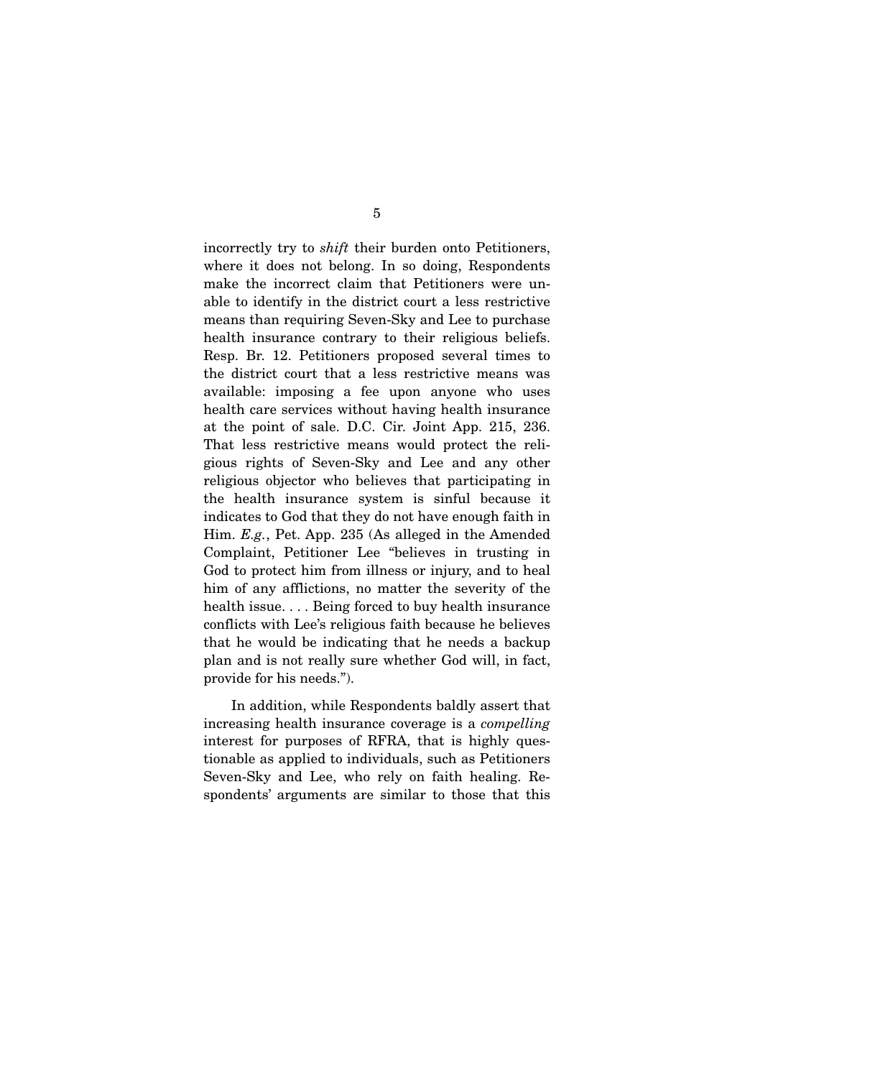incorrectly try to *shift* their burden onto Petitioners, where it does not belong. In so doing, Respondents make the incorrect claim that Petitioners were unable to identify in the district court a less restrictive means than requiring Seven-Sky and Lee to purchase health insurance contrary to their religious beliefs. Resp. Br. 12. Petitioners proposed several times to the district court that a less restrictive means was available: imposing a fee upon anyone who uses health care services without having health insurance at the point of sale. D.C. Cir. Joint App. 215, 236. That less restrictive means would protect the religious rights of Seven-Sky and Lee and any other religious objector who believes that participating in the health insurance system is sinful because it indicates to God that they do not have enough faith in Him. *E.g.*, Pet. App. 235 (As alleged in the Amended Complaint, Petitioner Lee "believes in trusting in God to protect him from illness or injury, and to heal him of any afflictions, no matter the severity of the health issue. . . . Being forced to buy health insurance conflicts with Lee's religious faith because he believes that he would be indicating that he needs a backup plan and is not really sure whether God will, in fact, provide for his needs.").

 In addition, while Respondents baldly assert that increasing health insurance coverage is a *compelling* interest for purposes of RFRA, that is highly questionable as applied to individuals, such as Petitioners Seven-Sky and Lee, who rely on faith healing. Respondents' arguments are similar to those that this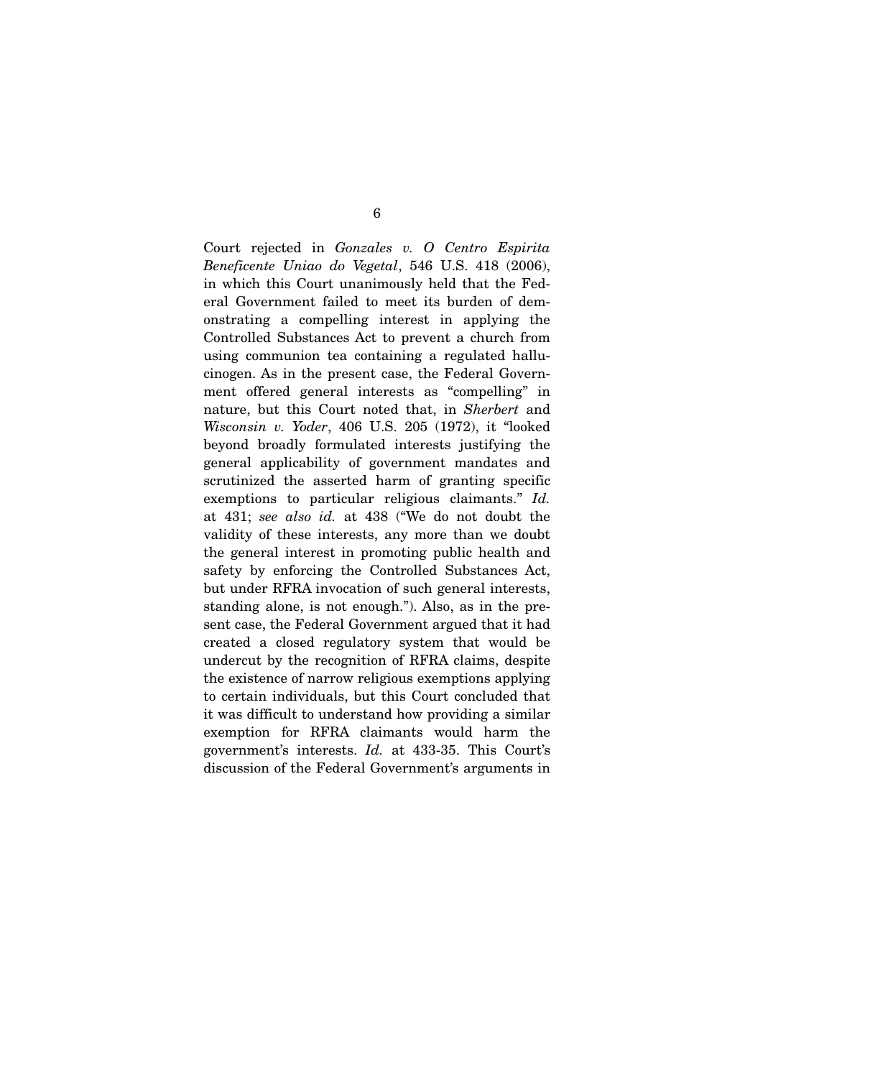Court rejected in *Gonzales v. O Centro Espirita Beneficente Uniao do Vegetal*, 546 U.S. 418 (2006), in which this Court unanimously held that the Federal Government failed to meet its burden of demonstrating a compelling interest in applying the Controlled Substances Act to prevent a church from using communion tea containing a regulated hallucinogen. As in the present case, the Federal Government offered general interests as "compelling" in nature, but this Court noted that, in *Sherbert* and *Wisconsin v. Yoder*, 406 U.S. 205 (1972), it "looked beyond broadly formulated interests justifying the general applicability of government mandates and scrutinized the asserted harm of granting specific exemptions to particular religious claimants." *Id.* at 431; *see also id.* at 438 ("We do not doubt the validity of these interests, any more than we doubt the general interest in promoting public health and safety by enforcing the Controlled Substances Act, but under RFRA invocation of such general interests, standing alone, is not enough."). Also, as in the present case, the Federal Government argued that it had created a closed regulatory system that would be undercut by the recognition of RFRA claims, despite the existence of narrow religious exemptions applying to certain individuals, but this Court concluded that it was difficult to understand how providing a similar exemption for RFRA claimants would harm the government's interests. *Id.* at 433-35. This Court's discussion of the Federal Government's arguments in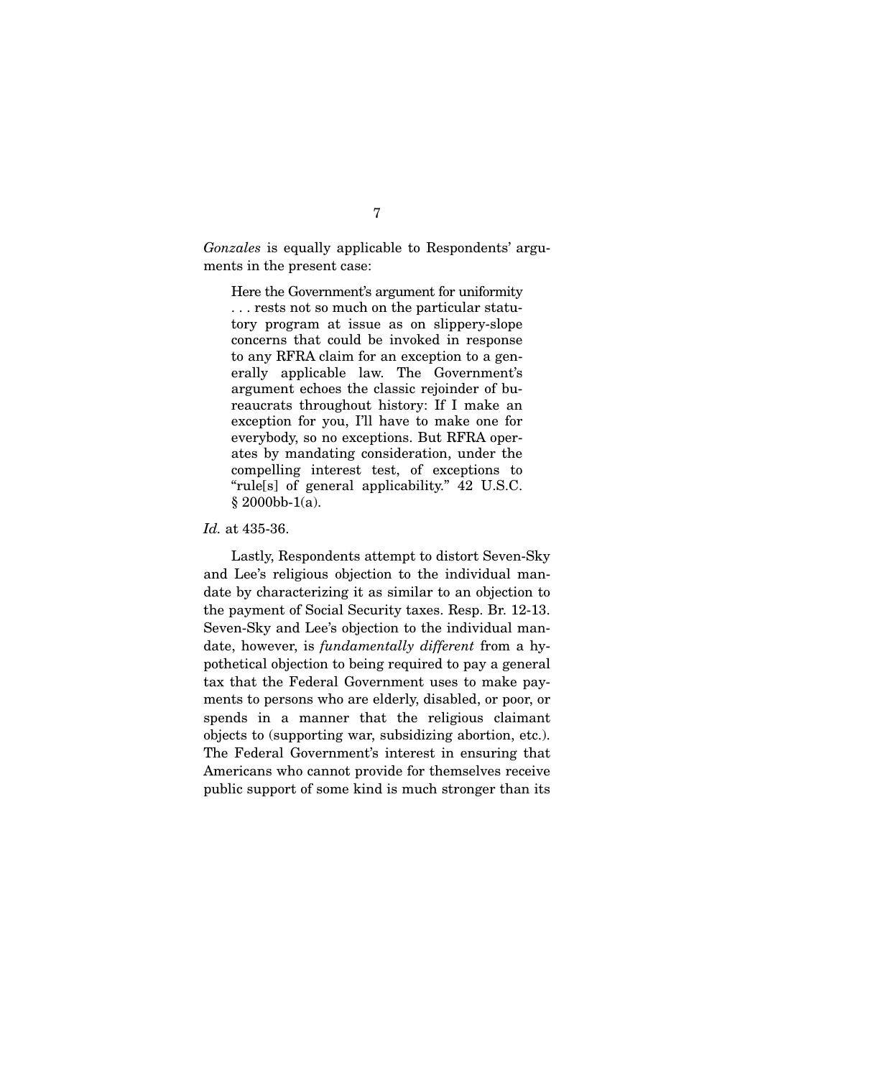*Gonzales* is equally applicable to Respondents' arguments in the present case:

Here the Government's argument for uniformity . . . rests not so much on the particular statutory program at issue as on slippery-slope concerns that could be invoked in response to any RFRA claim for an exception to a generally applicable law. The Government's argument echoes the classic rejoinder of bureaucrats throughout history: If I make an exception for you, I'll have to make one for everybody, so no exceptions. But RFRA operates by mandating consideration, under the compelling interest test, of exceptions to "rule[s] of general applicability." 42 U.S.C. § 2000bb-1(a).

*Id.* at 435-36.

 Lastly, Respondents attempt to distort Seven-Sky and Lee's religious objection to the individual mandate by characterizing it as similar to an objection to the payment of Social Security taxes. Resp. Br. 12-13. Seven-Sky and Lee's objection to the individual mandate, however, is *fundamentally different* from a hypothetical objection to being required to pay a general tax that the Federal Government uses to make payments to persons who are elderly, disabled, or poor, or spends in a manner that the religious claimant objects to (supporting war, subsidizing abortion, etc.). The Federal Government's interest in ensuring that Americans who cannot provide for themselves receive public support of some kind is much stronger than its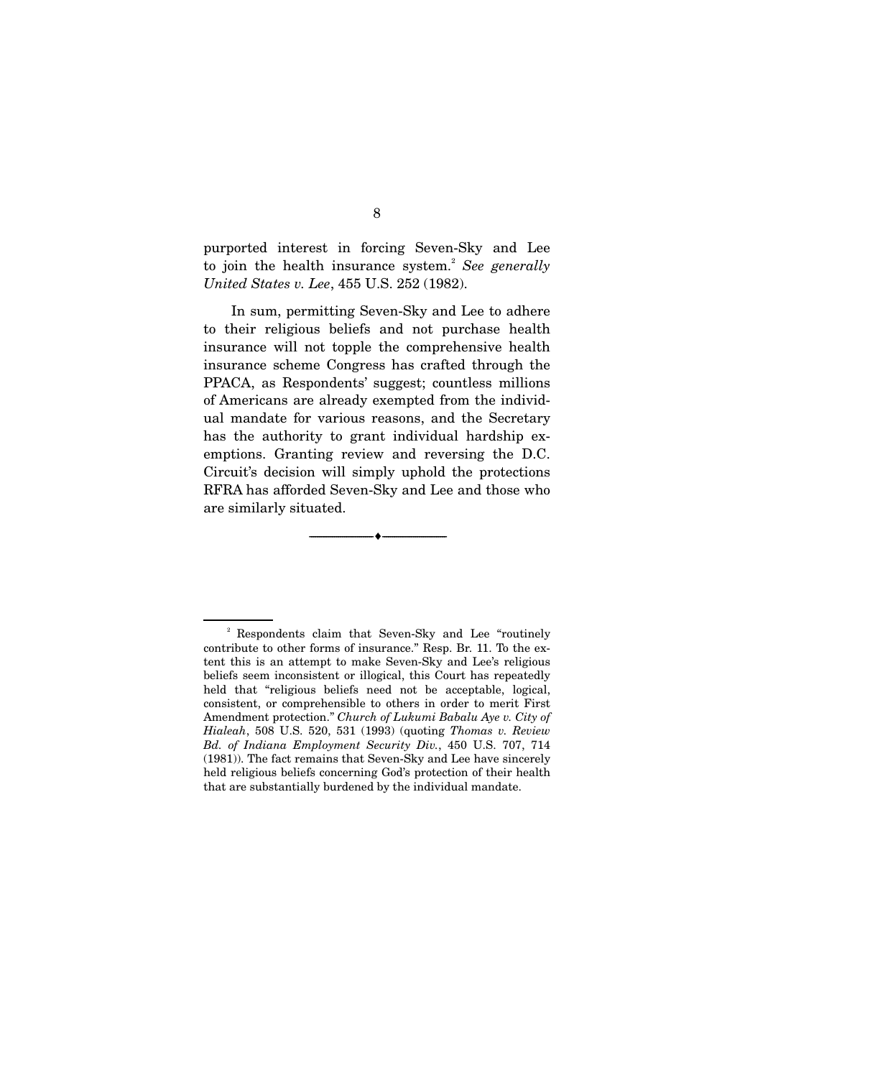purported interest in forcing Seven-Sky and Lee to join the health insurance system.<sup>2</sup> See generally *United States v. Lee*, 455 U.S. 252 (1982).

 In sum, permitting Seven-Sky and Lee to adhere to their religious beliefs and not purchase health insurance will not topple the comprehensive health insurance scheme Congress has crafted through the PPACA, as Respondents' suggest; countless millions of Americans are already exempted from the individual mandate for various reasons, and the Secretary has the authority to grant individual hardship exemptions. Granting review and reversing the D.C. Circuit's decision will simply uphold the protections RFRA has afforded Seven-Sky and Lee and those who are similarly situated.

--------------------------------- i ---------------------------------

<sup>2</sup> Respondents claim that Seven-Sky and Lee "routinely contribute to other forms of insurance." Resp. Br. 11. To the extent this is an attempt to make Seven-Sky and Lee's religious beliefs seem inconsistent or illogical, this Court has repeatedly held that "religious beliefs need not be acceptable, logical, consistent, or comprehensible to others in order to merit First Amendment protection." *Church of Lukumi Babalu Aye v. City of Hialeah*, 508 U.S. 520, 531 (1993) (quoting *Thomas v. Review Bd. of Indiana Employment Security Div.*, 450 U.S. 707, 714 (1981)). The fact remains that Seven-Sky and Lee have sincerely held religious beliefs concerning God's protection of their health that are substantially burdened by the individual mandate.